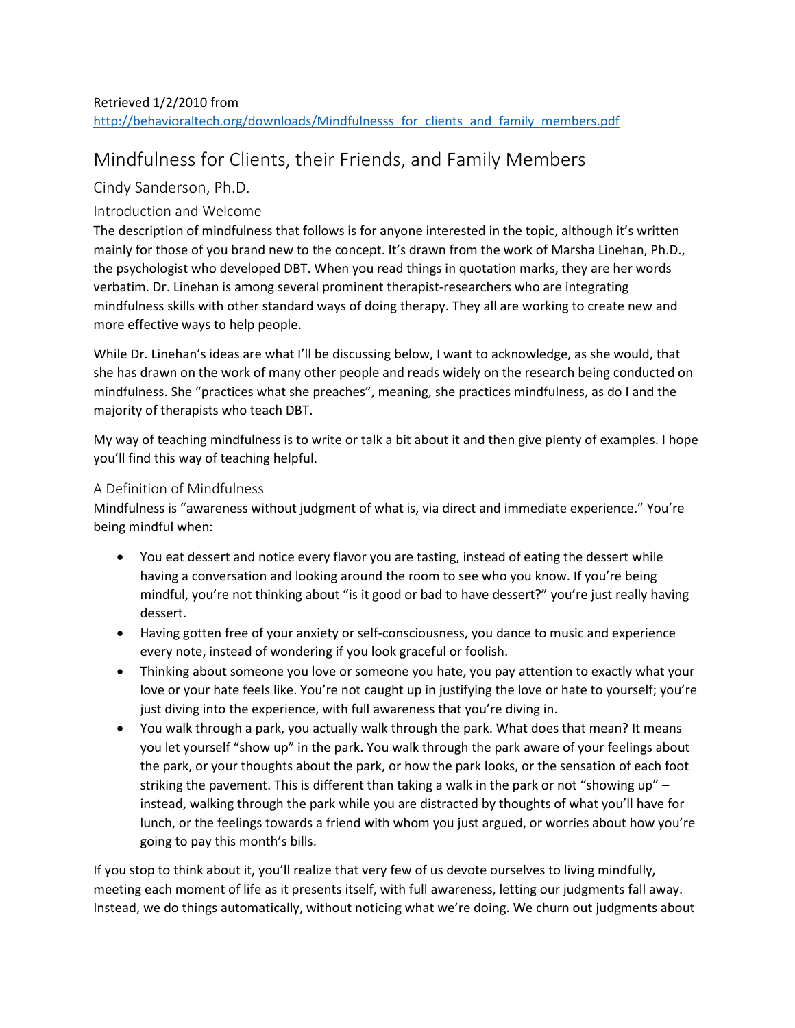# Retrieved 1/2/2010 from http://behavioraltech.org/downloads/Mindfulnesss\_for\_clients\_and\_family\_members.pdf

# Mindfulness for Clients, their Friends, and Family Members

# Cindy Sanderson, Ph.D.

# Introduction and Welcome

The description of mindfulness that follows is for anyone interested in the topic, although it's written mainly for those of you brand new to the concept. It's drawn from the work of Marsha Linehan, Ph.D., the psychologist who developed DBT. When you read things in quotation marks, they are her words verbatim. Dr. Linehan is among several prominent therapist-researchers who are integrating mindfulness skills with other standard ways of doing therapy. They all are working to create new and more effective ways to help people.

While Dr. Linehan's ideas are what I'll be discussing below, I want to acknowledge, as she would, that she has drawn on the work of many other people and reads widely on the research being conducted on mindfulness. She "practices what she preaches", meaning, she practices mindfulness, as do I and the majority of therapists who teach DBT.

My way of teaching mindfulness is to write or talk a bit about it and then give plenty of examples. I hope you'll find this way of teaching helpful.

## A Definition of Mindfulness

Mindfulness is "awareness without judgment of what is, via direct and immediate experience." You're being mindful when:

- You eat dessert and notice every flavor you are tasting, instead of eating the dessert while having a conversation and looking around the room to see who you know. If you're being mindful, you're not thinking about "is it good or bad to have dessert?" you're just really having dessert.
- Having gotten free of your anxiety or self-consciousness, you dance to music and experience every note, instead of wondering if you look graceful or foolish.
- Thinking about someone you love or someone you hate, you pay attention to exactly what your love or your hate feels like. You're not caught up in justifying the love or hate to yourself; you're just diving into the experience, with full awareness that you're diving in.
- You walk through a park, you actually walk through the park. What does that mean? It means you let yourself "show up" in the park. You walk through the park aware of your feelings about the park, or your thoughts about the park, or how the park looks, or the sensation of each foot striking the pavement. This is different than taking a walk in the park or not "showing up" – instead, walking through the park while you are distracted by thoughts of what you'll have for lunch, or the feelings towards a friend with whom you just argued, or worries about how you're going to pay this month's bills.

If you stop to think about it, you'll realize that very few of us devote ourselves to living mindfully, meeting each moment of life as it presents itself, with full awareness, letting our judgments fall away. Instead, we do things automatically, without noticing what we're doing. We churn out judgments about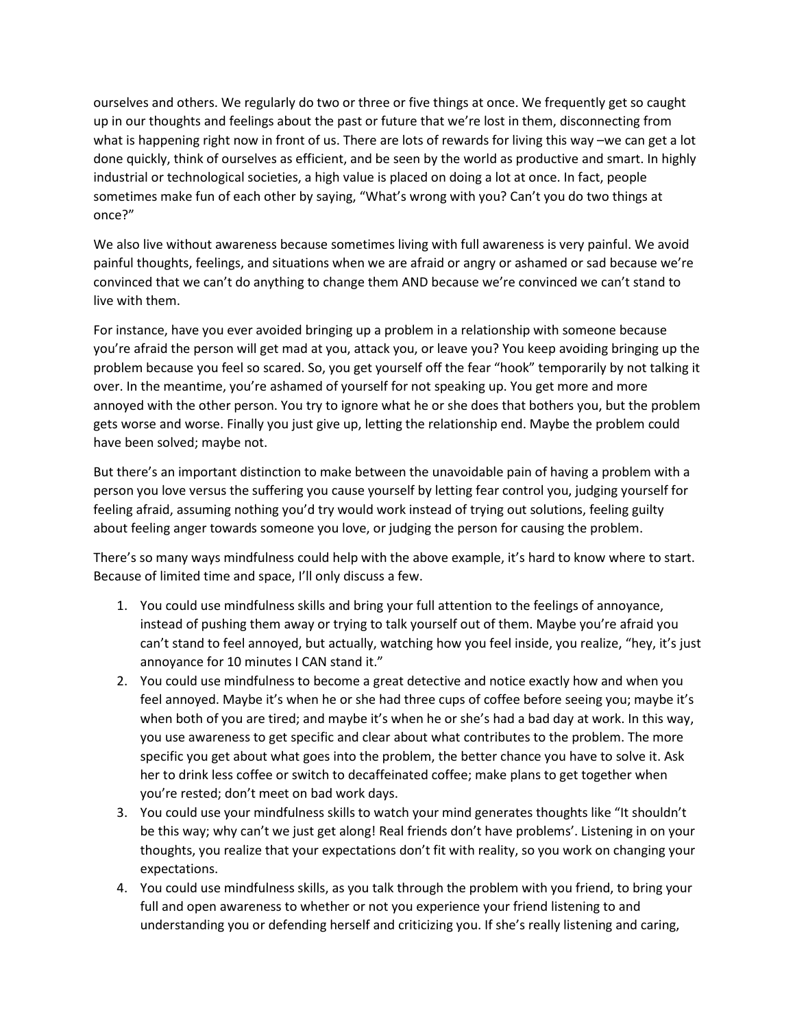ourselves and others. We regularly do two or three or five things at once. We frequently get so caught up in our thoughts and feelings about the past or future that we're lost in them, disconnecting from what is happening right now in front of us. There are lots of rewards for living this way –we can get a lot done quickly, think of ourselves as efficient, and be seen by the world as productive and smart. In highly industrial or technological societies, a high value is placed on doing a lot at once. In fact, people sometimes make fun of each other by saying, "What's wrong with you? Can't you do two things at once?"

We also live without awareness because sometimes living with full awareness is very painful. We avoid painful thoughts, feelings, and situations when we are afraid or angry or ashamed or sad because we're convinced that we can't do anything to change them AND because we're convinced we can't stand to live with them.

For instance, have you ever avoided bringing up a problem in a relationship with someone because you're afraid the person will get mad at you, attack you, or leave you? You keep avoiding bringing up the problem because you feel so scared. So, you get yourself off the fear "hook" temporarily by not talking it over. In the meantime, you're ashamed of yourself for not speaking up. You get more and more annoyed with the other person. You try to ignore what he or she does that bothers you, but the problem gets worse and worse. Finally you just give up, letting the relationship end. Maybe the problem could have been solved; maybe not.

But there's an important distinction to make between the unavoidable pain of having a problem with a person you love versus the suffering you cause yourself by letting fear control you, judging yourself for feeling afraid, assuming nothing you'd try would work instead of trying out solutions, feeling guilty about feeling anger towards someone you love, or judging the person for causing the problem.

There's so many ways mindfulness could help with the above example, it's hard to know where to start. Because of limited time and space, I'll only discuss a few.

- 1. You could use mindfulness skills and bring your full attention to the feelings of annoyance, instead of pushing them away or trying to talk yourself out of them. Maybe you're afraid you can't stand to feel annoyed, but actually, watching how you feel inside, you realize, "hey, it's just annoyance for 10 minutes I CAN stand it."
- 2. You could use mindfulness to become a great detective and notice exactly how and when you feel annoyed. Maybe it's when he or she had three cups of coffee before seeing you; maybe it's when both of you are tired; and maybe it's when he or she's had a bad day at work. In this way, you use awareness to get specific and clear about what contributes to the problem. The more specific you get about what goes into the problem, the better chance you have to solve it. Ask her to drink less coffee or switch to decaffeinated coffee; make plans to get together when you're rested; don't meet on bad work days.
- 3. You could use your mindfulness skills to watch your mind generates thoughts like "It shouldn't be this way; why can't we just get along! Real friends don't have problems'. Listening in on your thoughts, you realize that your expectations don't fit with reality, so you work on changing your expectations.
- 4. You could use mindfulness skills, as you talk through the problem with you friend, to bring your full and open awareness to whether or not you experience your friend listening to and understanding you or defending herself and criticizing you. If she's really listening and caring,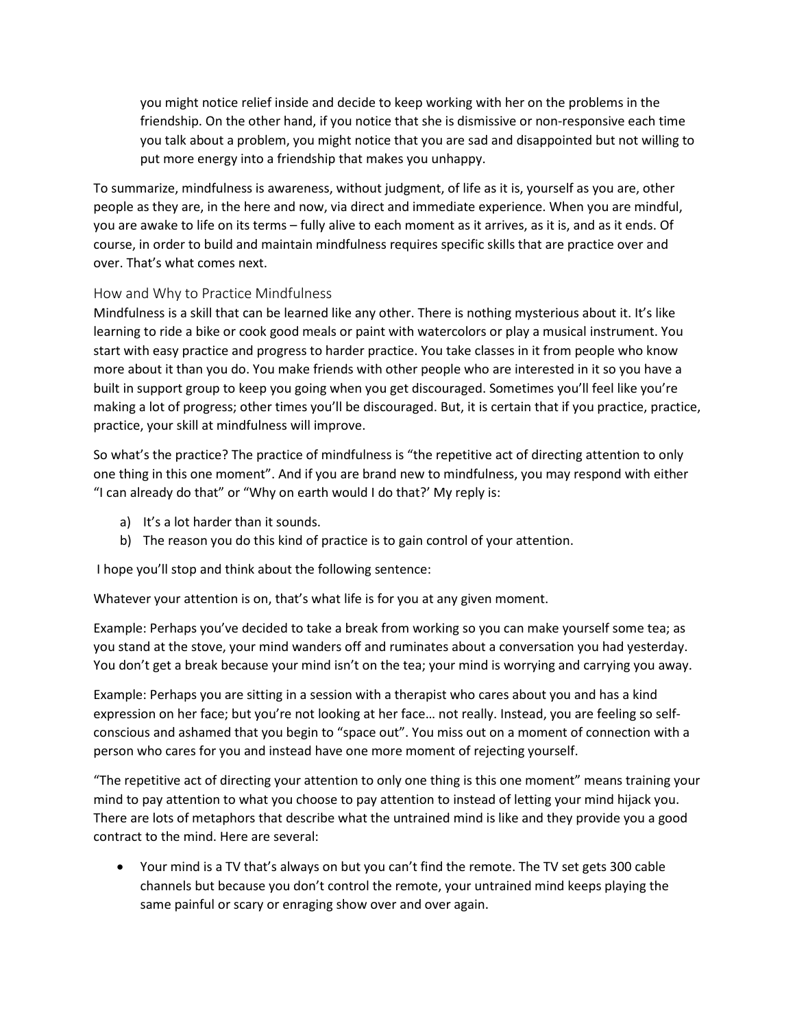you might notice relief inside and decide to keep working with her on the problems in the friendship. On the other hand, if you notice that she is dismissive or non-responsive each time you talk about a problem, you might notice that you are sad and disappointed but not willing to put more energy into a friendship that makes you unhappy.

To summarize, mindfulness is awareness, without judgment, of life as it is, yourself as you are, other people as they are, in the here and now, via direct and immediate experience. When you are mindful, you are awake to life on its terms – fully alive to each moment as it arrives, as it is, and as it ends. Of course, in order to build and maintain mindfulness requires specific skills that are practice over and over. That's what comes next.

## How and Why to Practice Mindfulness

Mindfulness is a skill that can be learned like any other. There is nothing mysterious about it. It's like learning to ride a bike or cook good meals or paint with watercolors or play a musical instrument. You start with easy practice and progress to harder practice. You take classes in it from people who know more about it than you do. You make friends with other people who are interested in it so you have a built in support group to keep you going when you get discouraged. Sometimes you'll feel like you're making a lot of progress; other times you'll be discouraged. But, it is certain that if you practice, practice, practice, your skill at mindfulness will improve.

So what's the practice? The practice of mindfulness is "the repetitive act of directing attention to only one thing in this one moment". And if you are brand new to mindfulness, you may respond with either "I can already do that" or "Why on earth would I do that?' My reply is:

- a) It's a lot harder than it sounds.
- b) The reason you do this kind of practice is to gain control of your attention.

I hope you'll stop and think about the following sentence:

Whatever your attention is on, that's what life is for you at any given moment.

Example: Perhaps you've decided to take a break from working so you can make yourself some tea; as you stand at the stove, your mind wanders off and ruminates about a conversation you had yesterday. You don't get a break because your mind isn't on the tea; your mind is worrying and carrying you away.

Example: Perhaps you are sitting in a session with a therapist who cares about you and has a kind expression on her face; but you're not looking at her face… not really. Instead, you are feeling so selfconscious and ashamed that you begin to "space out". You miss out on a moment of connection with a person who cares for you and instead have one more moment of rejecting yourself.

"The repetitive act of directing your attention to only one thing is this one moment" means training your mind to pay attention to what you choose to pay attention to instead of letting your mind hijack you. There are lots of metaphors that describe what the untrained mind is like and they provide you a good contract to the mind. Here are several:

• Your mind is a TV that's always on but you can't find the remote. The TV set gets 300 cable channels but because you don't control the remote, your untrained mind keeps playing the same painful or scary or enraging show over and over again.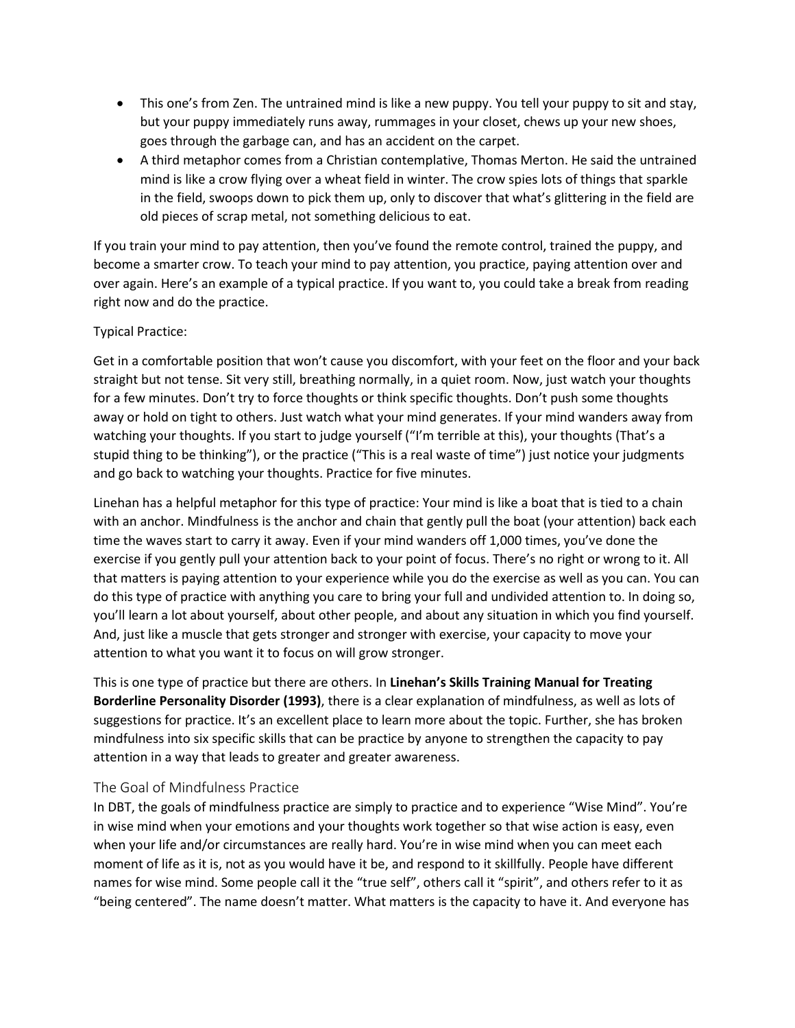- This one's from Zen. The untrained mind is like a new puppy. You tell your puppy to sit and stay, but your puppy immediately runs away, rummages in your closet, chews up your new shoes, goes through the garbage can, and has an accident on the carpet.
- A third metaphor comes from a Christian contemplative, Thomas Merton. He said the untrained mind is like a crow flying over a wheat field in winter. The crow spies lots of things that sparkle in the field, swoops down to pick them up, only to discover that what's glittering in the field are old pieces of scrap metal, not something delicious to eat.

If you train your mind to pay attention, then you've found the remote control, trained the puppy, and become a smarter crow. To teach your mind to pay attention, you practice, paying attention over and over again. Here's an example of a typical practice. If you want to, you could take a break from reading right now and do the practice.

#### Typical Practice:

Get in a comfortable position that won't cause you discomfort, with your feet on the floor and your back straight but not tense. Sit very still, breathing normally, in a quiet room. Now, just watch your thoughts for a few minutes. Don't try to force thoughts or think specific thoughts. Don't push some thoughts away or hold on tight to others. Just watch what your mind generates. If your mind wanders away from watching your thoughts. If you start to judge yourself ("I'm terrible at this), your thoughts (That's a stupid thing to be thinking"), or the practice ("This is a real waste of time") just notice your judgments and go back to watching your thoughts. Practice for five minutes.

Linehan has a helpful metaphor for this type of practice: Your mind is like a boat that is tied to a chain with an anchor. Mindfulness is the anchor and chain that gently pull the boat (your attention) back each time the waves start to carry it away. Even if your mind wanders off 1,000 times, you've done the exercise if you gently pull your attention back to your point of focus. There's no right or wrong to it. All that matters is paying attention to your experience while you do the exercise as well as you can. You can do this type of practice with anything you care to bring your full and undivided attention to. In doing so, you'll learn a lot about yourself, about other people, and about any situation in which you find yourself. And, just like a muscle that gets stronger and stronger with exercise, your capacity to move your attention to what you want it to focus on will grow stronger.

This is one type of practice but there are others. In **Linehan's Skills Training Manual for Treating Borderline Personality Disorder (1993)**, there is a clear explanation of mindfulness, as well as lots of suggestions for practice. It's an excellent place to learn more about the topic. Further, she has broken mindfulness into six specific skills that can be practice by anyone to strengthen the capacity to pay attention in a way that leads to greater and greater awareness.

#### The Goal of Mindfulness Practice

In DBT, the goals of mindfulness practice are simply to practice and to experience "Wise Mind". You're in wise mind when your emotions and your thoughts work together so that wise action is easy, even when your life and/or circumstances are really hard. You're in wise mind when you can meet each moment of life as it is, not as you would have it be, and respond to it skillfully. People have different names for wise mind. Some people call it the "true self", others call it "spirit", and others refer to it as "being centered". The name doesn't matter. What matters is the capacity to have it. And everyone has